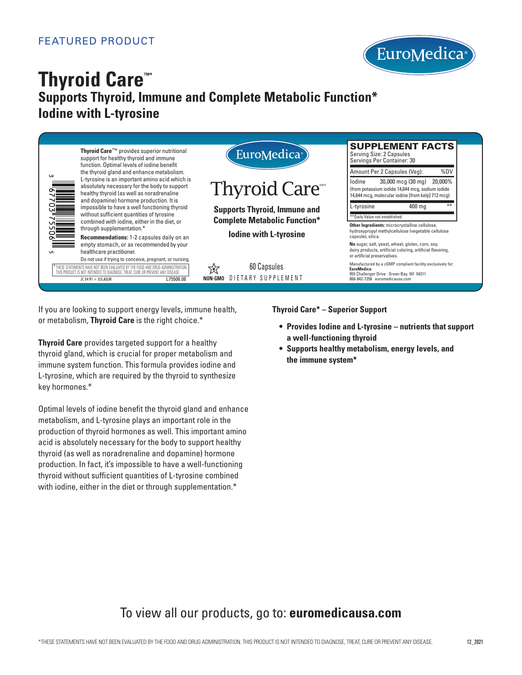

# **Thyroid Care™\* Supports Thyroid, Immune and Complete Metabolic Function\* Iodine with L-tyrosine**



If you are looking to support energy levels, immune health, or metabolism, **Thyroid Care** is the right choice.\*

**Thyroid Care** provides targeted support for a healthy thyroid gland, which is crucial for proper metabolism and immune system function. This formula provides iodine and L-tyrosine, which are required by the thyroid to synthesize key hormones.\*

Optimal levels of iodine benefit the thyroid gland and enhance metabolism, and L-tyrosine plays an important role in the production of thyroid hormones as well. This important amino acid is absolutely necessary for the body to support healthy thyroid (as well as noradrenaline and dopamine) hormone production. In fact, it's impossible to have a well-functioning thyroid without sufficient quantities of L-tyrosine combined with iodine, either in the diet or through supplementation.\*

Thyroid Care\* – Superior Support

- **Provides Iodine and L-tyrosine nutrients that support a well-functioning thyroid**
- **Supports healthy metabolism, energy levels, and the immune system\***

## To view all our products, go to: **euromedicausa.com**